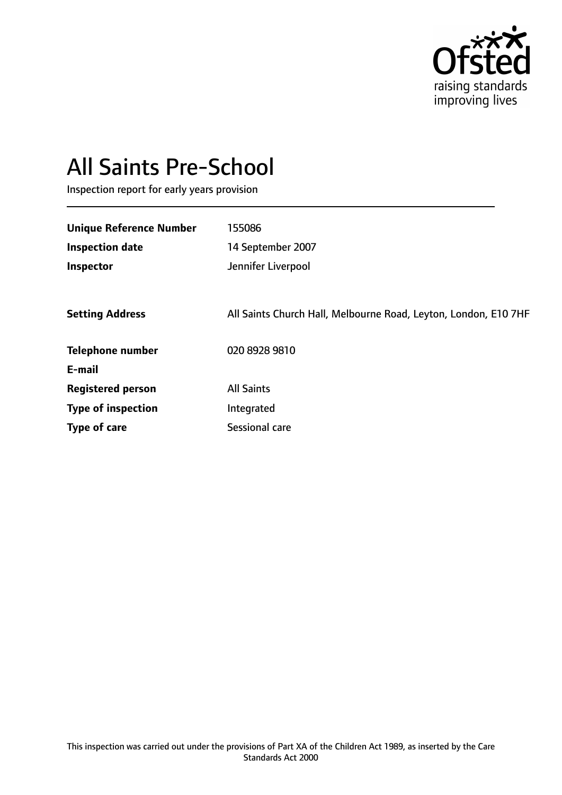

# All Saints Pre-School

Inspection report for early years provision

| <b>Unique Reference Number</b> | 155086                                                          |
|--------------------------------|-----------------------------------------------------------------|
| <b>Inspection date</b>         | 14 September 2007                                               |
| Inspector                      | Jennifer Liverpool                                              |
|                                |                                                                 |
| <b>Setting Address</b>         | All Saints Church Hall, Melbourne Road, Leyton, London, E10 7HF |
| <b>Telephone number</b>        | 020 8928 9810                                                   |
| E-mail                         |                                                                 |
| <b>Registered person</b>       | <b>All Saints</b>                                               |
| <b>Type of inspection</b>      | Integrated                                                      |
| Type of care                   | Sessional care                                                  |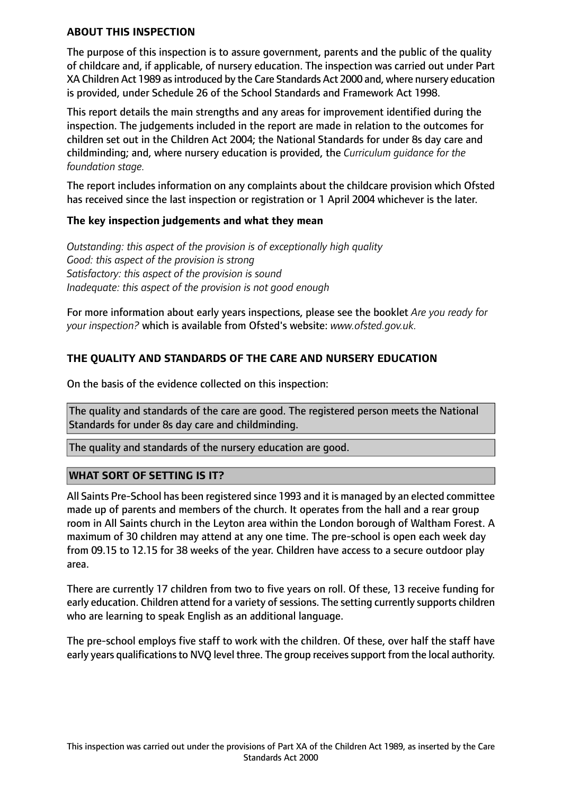#### **ABOUT THIS INSPECTION**

The purpose of this inspection is to assure government, parents and the public of the quality of childcare and, if applicable, of nursery education. The inspection was carried out under Part XA Children Act 1989 asintroduced by the Care Standards Act 2000 and, where nursery education is provided, under Schedule 26 of the School Standards and Framework Act 1998.

This report details the main strengths and any areas for improvement identified during the inspection. The judgements included in the report are made in relation to the outcomes for children set out in the Children Act 2004; the National Standards for under 8s day care and childminding; and, where nursery education is provided, the *Curriculum guidance for the foundation stage.*

The report includes information on any complaints about the childcare provision which Ofsted has received since the last inspection or registration or 1 April 2004 whichever is the later.

### **The key inspection judgements and what they mean**

*Outstanding: this aspect of the provision is of exceptionally high quality Good: this aspect of the provision is strong Satisfactory: this aspect of the provision is sound Inadequate: this aspect of the provision is not good enough*

For more information about early years inspections, please see the booklet *Are you ready for your inspection?* which is available from Ofsted's website: *www.ofsted.gov.uk.*

## **THE QUALITY AND STANDARDS OF THE CARE AND NURSERY EDUCATION**

On the basis of the evidence collected on this inspection:

The quality and standards of the care are good. The registered person meets the National Standards for under 8s day care and childminding.

The quality and standards of the nursery education are good.

### **WHAT SORT OF SETTING IS IT?**

All Saints Pre-School has been registered since 1993 and it is managed by an elected committee made up of parents and members of the church. It operates from the hall and a rear group room in All Saints church in the Leyton area within the London borough of Waltham Forest. A maximum of 30 children may attend at any one time. The pre-school is open each week day from 09.15 to 12.15 for 38 weeks of the year. Children have access to a secure outdoor play area.

There are currently 17 children from two to five years on roll. Of these, 13 receive funding for early education. Children attend for a variety of sessions. The setting currently supports children who are learning to speak English as an additional language.

The pre-school employs five staff to work with the children. Of these, over half the staff have early years qualifications to NVQ level three. The group receives support from the local authority.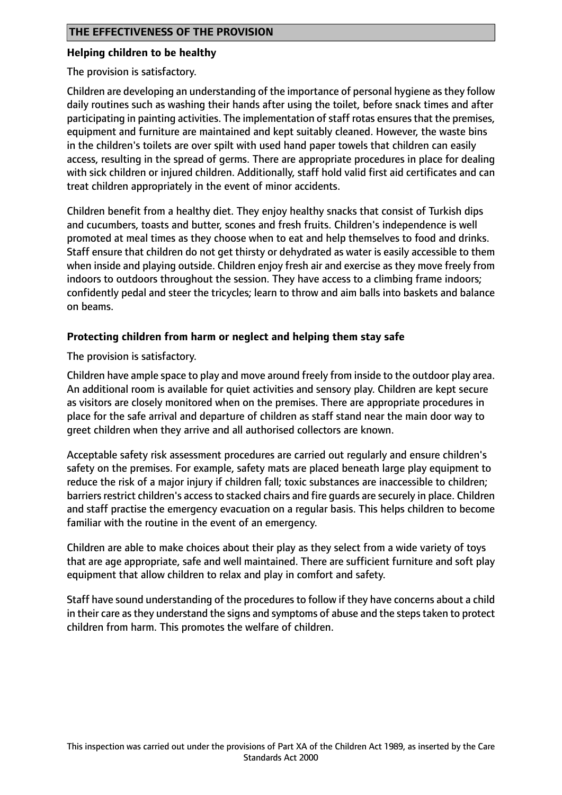#### **Helping children to be healthy**

The provision is satisfactory.

Children are developing an understanding of the importance of personal hygiene asthey follow daily routines such as washing their hands after using the toilet, before snack times and after participating in painting activities. The implementation of staff rotas ensures that the premises, equipment and furniture are maintained and kept suitably cleaned. However, the waste bins in the children's toilets are over spilt with used hand paper towels that children can easily access, resulting in the spread of germs. There are appropriate procedures in place for dealing with sick children or injured children. Additionally, staff hold valid first aid certificates and can treat children appropriately in the event of minor accidents.

Children benefit from a healthy diet. They enjoy healthy snacks that consist of Turkish dips and cucumbers, toasts and butter, scones and fresh fruits. Children's independence is well promoted at meal times as they choose when to eat and help themselves to food and drinks. Staff ensure that children do not get thirsty or dehydrated as water is easily accessible to them when inside and playing outside. Children enjoy fresh air and exercise as they move freely from indoors to outdoors throughout the session. They have access to a climbing frame indoors; confidently pedal and steer the tricycles; learn to throw and aim balls into baskets and balance on beams.

### **Protecting children from harm or neglect and helping them stay safe**

The provision is satisfactory.

Children have ample space to play and move around freely from inside to the outdoor play area. An additional room is available for quiet activities and sensory play. Children are kept secure as visitors are closely monitored when on the premises. There are appropriate procedures in place for the safe arrival and departure of children as staff stand near the main door way to greet children when they arrive and all authorised collectors are known.

Acceptable safety risk assessment procedures are carried out regularly and ensure children's safety on the premises. For example, safety mats are placed beneath large play equipment to reduce the risk of a major injury if children fall; toxic substances are inaccessible to children; barriers restrict children's access to stacked chairs and fire guards are securely in place. Children and staff practise the emergency evacuation on a regular basis. This helps children to become familiar with the routine in the event of an emergency.

Children are able to make choices about their play as they select from a wide variety of toys that are age appropriate, safe and well maintained. There are sufficient furniture and soft play equipment that allow children to relax and play in comfort and safety.

Staff have sound understanding of the procedures to follow if they have concerns about a child in their care as they understand the signs and symptoms of abuse and the steps taken to protect children from harm. This promotes the welfare of children.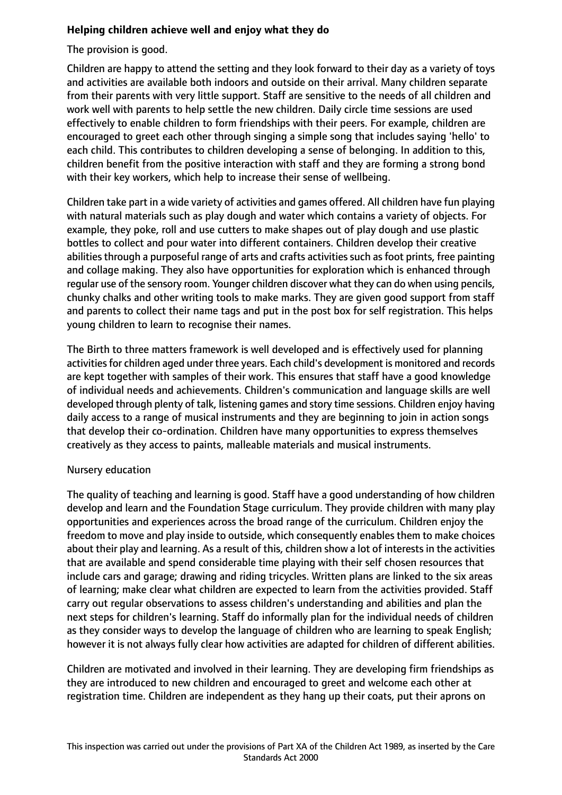## **Helping children achieve well and enjoy what they do**

The provision is good.

Children are happy to attend the setting and they look forward to their day as a variety of toys and activities are available both indoors and outside on their arrival. Many children separate from their parents with very little support. Staff are sensitive to the needs of all children and work well with parents to help settle the new children. Daily circle time sessions are used effectively to enable children to form friendships with their peers. For example, children are encouraged to greet each other through singing a simple song that includes saying 'hello' to each child. This contributes to children developing a sense of belonging. In addition to this, children benefit from the positive interaction with staff and they are forming a strong bond with their key workers, which help to increase their sense of wellbeing.

Children take part in a wide variety of activities and games offered. All children have fun playing with natural materials such as play dough and water which contains a variety of objects. For example, they poke, roll and use cutters to make shapes out of play dough and use plastic bottles to collect and pour water into different containers. Children develop their creative abilities through a purposeful range of arts and crafts activities such as foot prints, free painting and collage making. They also have opportunities for exploration which is enhanced through regular use of the sensory room. Younger children discover what they can do when using pencils, chunky chalks and other writing tools to make marks. They are given good support from staff and parents to collect their name tags and put in the post box for self registration. This helps young children to learn to recognise their names.

The Birth to three matters framework is well developed and is effectively used for planning activities for children aged under three years. Each child's development is monitored and records are kept together with samples of their work. This ensures that staff have a good knowledge of individual needs and achievements. Children's communication and language skills are well developed through plenty of talk, listening games and story time sessions. Children enjoy having daily access to a range of musical instruments and they are beginning to join in action songs that develop their co-ordination. Children have many opportunities to express themselves creatively as they access to paints, malleable materials and musical instruments.

### Nursery education

The quality of teaching and learning is good. Staff have a good understanding of how children develop and learn and the Foundation Stage curriculum. They provide children with many play opportunities and experiences across the broad range of the curriculum. Children enjoy the freedom to move and play inside to outside, which consequently enables them to make choices about their play and learning. As a result of this, children show a lot of interests in the activities that are available and spend considerable time playing with their self chosen resources that include cars and garage; drawing and riding tricycles. Written plans are linked to the six areas of learning; make clear what children are expected to learn from the activities provided. Staff carry out regular observations to assess children's understanding and abilities and plan the next steps for children's learning. Staff do informally plan for the individual needs of children as they consider ways to develop the language of children who are learning to speak English; however it is not always fully clear how activities are adapted for children of different abilities.

Children are motivated and involved in their learning. They are developing firm friendships as they are introduced to new children and encouraged to greet and welcome each other at registration time. Children are independent as they hang up their coats, put their aprons on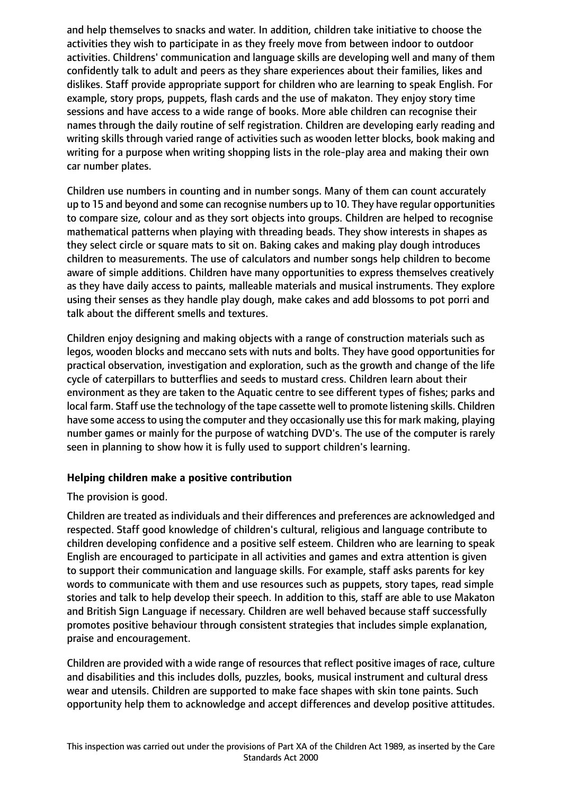and help themselves to snacks and water. In addition, children take initiative to choose the activities they wish to participate in as they freely move from between indoor to outdoor activities. Childrens' communication and language skills are developing well and many of them confidently talk to adult and peers as they share experiences about their families, likes and dislikes. Staff provide appropriate support for children who are learning to speak English. For example, story props, puppets, flash cards and the use of makaton. They enjoy story time sessions and have access to a wide range of books. More able children can recognise their names through the daily routine of self registration. Children are developing early reading and writing skills through varied range of activities such as wooden letter blocks, book making and writing for a purpose when writing shopping lists in the role-play area and making their own car number plates.

Children use numbers in counting and in number songs. Many of them can count accurately up to 15 and beyond and some can recognise numbers up to 10. They have regular opportunities to compare size, colour and as they sort objects into groups. Children are helped to recognise mathematical patterns when playing with threading beads. They show interests in shapes as they select circle or square mats to sit on. Baking cakes and making play dough introduces children to measurements. The use of calculators and number songs help children to become aware of simple additions. Children have many opportunities to express themselves creatively as they have daily access to paints, malleable materials and musical instruments. They explore using their senses as they handle play dough, make cakes and add blossoms to pot porri and talk about the different smells and textures.

Children enjoy designing and making objects with a range of construction materials such as legos, wooden blocks and meccano sets with nuts and bolts. They have good opportunities for practical observation, investigation and exploration, such as the growth and change of the life cycle of caterpillars to butterflies and seeds to mustard cress. Children learn about their environment as they are taken to the Aquatic centre to see different types of fishes; parks and local farm. Staff use the technology of the tape cassette well to promote listening skills. Children have some access to using the computer and they occasionally use this for mark making, playing number games or mainly for the purpose of watching DVD's. The use of the computer is rarely seen in planning to show how it is fully used to support children's learning.

### **Helping children make a positive contribution**

### The provision is good.

Children are treated as individuals and their differences and preferences are acknowledged and respected. Staff good knowledge of children's cultural, religious and language contribute to children developing confidence and a positive self esteem. Children who are learning to speak English are encouraged to participate in all activities and games and extra attention is given to support their communication and language skills. For example, staff asks parents for key words to communicate with them and use resources such as puppets, story tapes, read simple stories and talk to help develop their speech. In addition to this, staff are able to use Makaton and British Sign Language if necessary. Children are well behaved because staff successfully promotes positive behaviour through consistent strategies that includes simple explanation, praise and encouragement.

Children are provided with a wide range of resources that reflect positive images of race, culture and disabilities and this includes dolls, puzzles, books, musical instrument and cultural dress wear and utensils. Children are supported to make face shapes with skin tone paints. Such opportunity help them to acknowledge and accept differences and develop positive attitudes.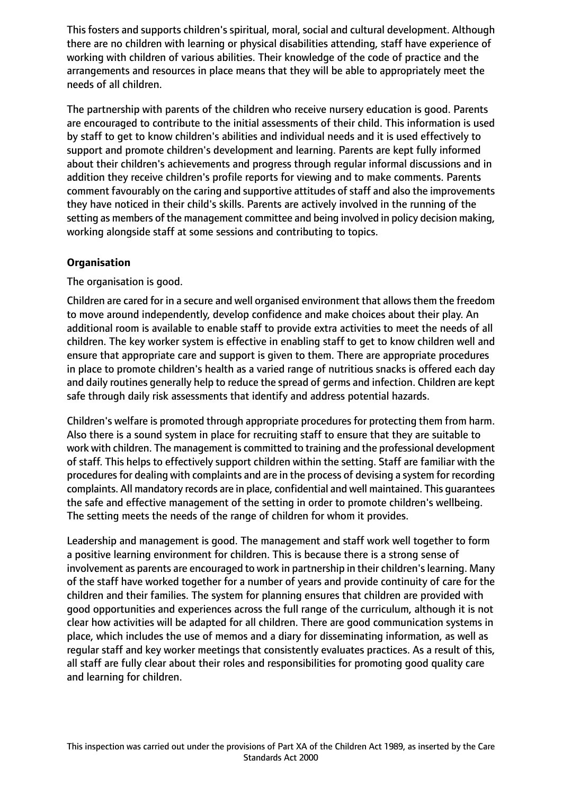This fosters and supports children's spiritual, moral, social and cultural development. Although there are no children with learning or physical disabilities attending, staff have experience of working with children of various abilities. Their knowledge of the code of practice and the arrangements and resources in place means that they will be able to appropriately meet the needs of all children.

The partnership with parents of the children who receive nursery education is good. Parents are encouraged to contribute to the initial assessments of their child. This information is used by staff to get to know children's abilities and individual needs and it is used effectively to support and promote children's development and learning. Parents are kept fully informed about their children's achievements and progress through regular informal discussions and in addition they receive children's profile reports for viewing and to make comments. Parents comment favourably on the caring and supportive attitudes of staff and also the improvements they have noticed in their child's skills. Parents are actively involved in the running of the setting as members of the management committee and being involved in policy decision making, working alongside staff at some sessions and contributing to topics.

## **Organisation**

The organisation is good.

Children are cared for in a secure and well organised environment that allows them the freedom to move around independently, develop confidence and make choices about their play. An additional room is available to enable staff to provide extra activities to meet the needs of all children. The key worker system is effective in enabling staff to get to know children well and ensure that appropriate care and support is given to them. There are appropriate procedures in place to promote children's health as a varied range of nutritious snacks is offered each day and daily routines generally help to reduce the spread of germs and infection. Children are kept safe through daily risk assessments that identify and address potential hazards.

Children's welfare is promoted through appropriate procedures for protecting them from harm. Also there is a sound system in place for recruiting staff to ensure that they are suitable to work with children. The management is committed to training and the professional development of staff. This helps to effectively support children within the setting. Staff are familiar with the procedures for dealing with complaints and are in the process of devising a system for recording complaints. All mandatory records are in place, confidential and well maintained. This guarantees the safe and effective management of the setting in order to promote children's wellbeing. The setting meets the needs of the range of children for whom it provides.

Leadership and management is good. The management and staff work well together to form a positive learning environment for children. This is because there is a strong sense of involvement as parents are encouraged to work in partnership in their children's learning. Many of the staff have worked together for a number of years and provide continuity of care for the children and their families. The system for planning ensures that children are provided with good opportunities and experiences across the full range of the curriculum, although it is not clear how activities will be adapted for all children. There are good communication systems in place, which includes the use of memos and a diary for disseminating information, as well as regular staff and key worker meetings that consistently evaluates practices. As a result of this, all staff are fully clear about their roles and responsibilities for promoting good quality care and learning for children.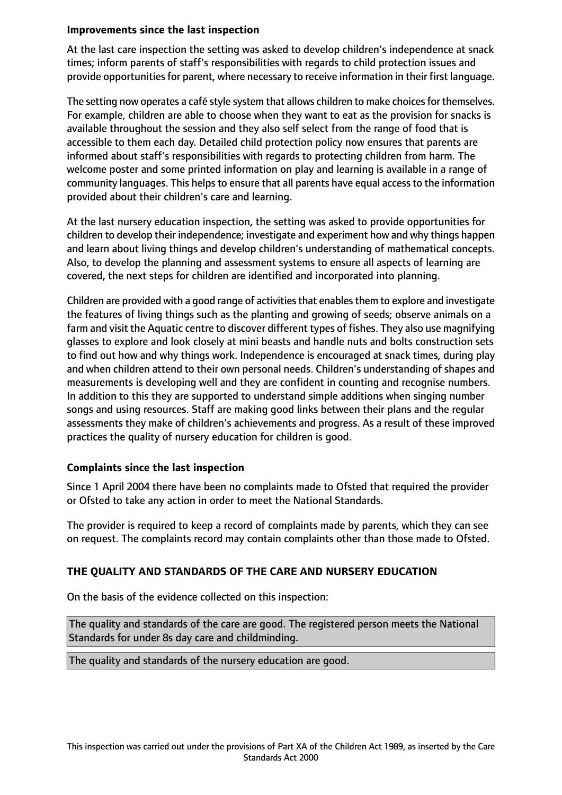#### **Improvements since the last inspection**

At the last care inspection the setting was asked to develop children's independence at snack times; inform parents of staff's responsibilities with regards to child protection issues and provide opportunities for parent, where necessary to receive information in their first language.

The setting now operates a café style system that allows children to make choices for themselves. For example, children are able to choose when they want to eat as the provision for snacks is available throughout the session and they also self select from the range of food that is accessible to them each day. Detailed child protection policy now ensures that parents are informed about staff's responsibilities with regards to protecting children from harm. The welcome poster and some printed information on play and learning is available in a range of community languages. This helps to ensure that all parents have equal access to the information provided about their children's care and learning.

At the last nursery education inspection, the setting was asked to provide opportunities for children to develop their independence; investigate and experiment how and why things happen and learn about living things and develop children's understanding of mathematical concepts. Also, to develop the planning and assessment systems to ensure all aspects of learning are covered, the next steps for children are identified and incorporated into planning.

Children are provided with a good range of activities that enables them to explore and investigate the features of living things such as the planting and growing of seeds; observe animals on a farm and visit the Aquatic centre to discover different types of fishes. They also use magnifying glasses to explore and look closely at mini beasts and handle nuts and bolts construction sets to find out how and why things work. Independence is encouraged at snack times, during play and when children attend to their own personal needs. Children's understanding of shapes and measurements is developing well and they are confident in counting and recognise numbers. In addition to this they are supported to understand simple additions when singing number songs and using resources. Staff are making good links between their plans and the regular assessments they make of children's achievements and progress. As a result of these improved practices the quality of nursery education for children is good.

### **Complaints since the last inspection**

Since 1 April 2004 there have been no complaints made to Ofsted that required the provider or Ofsted to take any action in order to meet the National Standards.

The provider is required to keep a record of complaints made by parents, which they can see on request. The complaints record may contain complaints other than those made to Ofsted.

## **THE QUALITY AND STANDARDS OF THE CARE AND NURSERY EDUCATION**

On the basis of the evidence collected on this inspection:

The quality and standards of the care are good. The registered person meets the National Standards for under 8s day care and childminding.

The quality and standards of the nursery education are good.